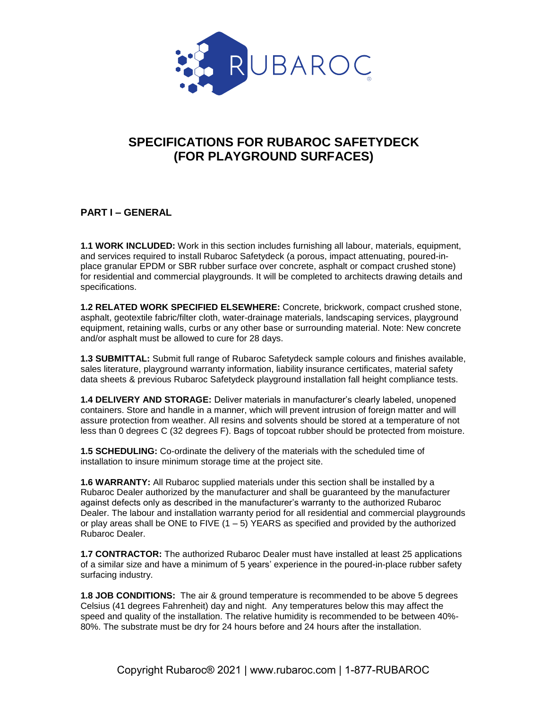

# **SPECIFICATIONS FOR RUBAROC SAFETYDECK (FOR PLAYGROUND SURFACES)**

#### **PART I – GENERAL**

**1.1 WORK INCLUDED:** Work in this section includes furnishing all labour, materials, equipment, and services required to install Rubaroc Safetydeck (a porous, impact attenuating, poured-inplace granular EPDM or SBR rubber surface over concrete, asphalt or compact crushed stone) for residential and commercial playgrounds. It will be completed to architects drawing details and specifications.

**1.2 RELATED WORK SPECIFIED ELSEWHERE:** Concrete, brickwork, compact crushed stone, asphalt, geotextile fabric/filter cloth, water-drainage materials, landscaping services, playground equipment, retaining walls, curbs or any other base or surrounding material. Note: New concrete and/or asphalt must be allowed to cure for 28 days.

**1.3 SUBMITTAL:** Submit full range of Rubaroc Safetydeck sample colours and finishes available, sales literature, playground warranty information, liability insurance certificates, material safety data sheets & previous Rubaroc Safetydeck playground installation fall height compliance tests.

**1.4 DELIVERY AND STORAGE:** Deliver materials in manufacturer's clearly labeled, unopened containers. Store and handle in a manner, which will prevent intrusion of foreign matter and will assure protection from weather. All resins and solvents should be stored at a temperature of not less than 0 degrees C (32 degrees F). Bags of topcoat rubber should be protected from moisture.

**1.5 SCHEDULING:** Co-ordinate the delivery of the materials with the scheduled time of installation to insure minimum storage time at the project site.

**1.6 WARRANTY:** All Rubaroc supplied materials under this section shall be installed by a Rubaroc Dealer authorized by the manufacturer and shall be guaranteed by the manufacturer against defects only as described in the manufacturer's warranty to the authorized Rubaroc Dealer. The labour and installation warranty period for all residential and commercial playgrounds or play areas shall be ONE to FIVE  $(1 - 5)$  YEARS as specified and provided by the authorized Rubaroc Dealer.

**1.7 CONTRACTOR:** The authorized Rubaroc Dealer must have installed at least 25 applications of a similar size and have a minimum of 5 years' experience in the poured-in-place rubber safety surfacing industry.

**1.8 JOB CONDITIONS:** The air & ground temperature is recommended to be above 5 degrees Celsius (41 degrees Fahrenheit) day and night. Any temperatures below this may affect the speed and quality of the installation. The relative humidity is recommended to be between 40%- 80%. The substrate must be dry for 24 hours before and 24 hours after the installation.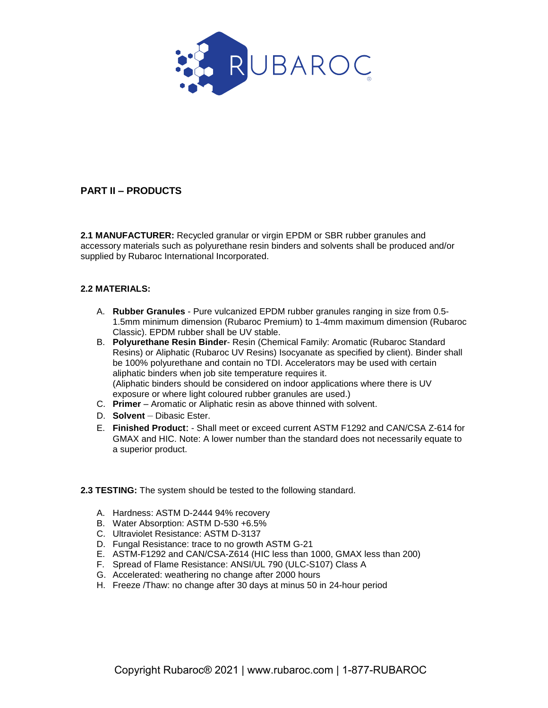

## **PART II – PRODUCTS**

**2.1 MANUFACTURER:** Recycled granular or virgin EPDM or SBR rubber granules and accessory materials such as polyurethane resin binders and solvents shall be produced and/or supplied by Rubaroc International Incorporated.

#### **2.2 MATERIALS:**

- A. **Rubber Granules** Pure vulcanized EPDM rubber granules ranging in size from 0.5- 1.5mm minimum dimension (Rubaroc Premium) to 1-4mm maximum dimension (Rubaroc Classic). EPDM rubber shall be UV stable.
- B. **Polyurethane Resin Binder** Resin (Chemical Family: Aromatic (Rubaroc Standard Resins) or Aliphatic (Rubaroc UV Resins) Isocyanate as specified by client). Binder shall be 100% polyurethane and contain no TDI. Accelerators may be used with certain aliphatic binders when job site temperature requires it. (Aliphatic binders should be considered on indoor applications where there is UV exposure or where light coloured rubber granules are used.)
- C. **Primer** Aromatic or Aliphatic resin as above thinned with solvent.
- D. **Solvent** Dibasic Ester.
- E. **Finished Product**: Shall meet or exceed current ASTM F1292 and CAN/CSA Z-614 for GMAX and HIC. Note: A lower number than the standard does not necessarily equate to a superior product.
- **2.3 TESTING:** The system should be tested to the following standard.
	- A. Hardness: ASTM D-2444 94% recovery
	- B. Water Absorption: ASTM D-530 +6.5%
	- C. Ultraviolet Resistance: ASTM D-3137
	- D. Fungal Resistance: trace to no growth ASTM G-21
	- E. ASTM-F1292 and CAN/CSA-Z614 (HIC less than 1000, GMAX less than 200)
	- F. Spread of Flame Resistance: ANSI/UL 790 (ULC-S107) Class A
	- G. Accelerated: weathering no change after 2000 hours
	- H. Freeze /Thaw: no change after 30 days at minus 50 in 24-hour period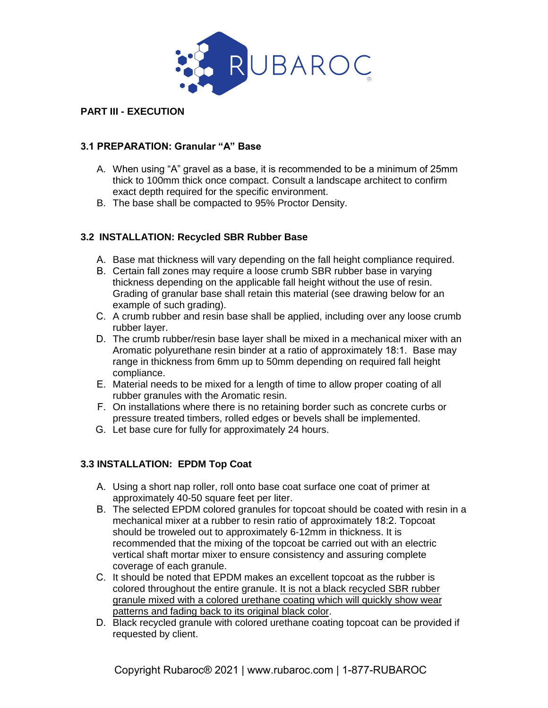

## **PART III - EXECUTION**

### **3.1 PREPARATION: Granular "A" Base**

- A. When using "A" gravel as a base, it is recommended to be a minimum of 25mm thick to 100mm thick once compact. Consult a landscape architect to confirm exact depth required for the specific environment.
- B. The base shall be compacted to 95% Proctor Density.

## **3.2 INSTALLATION: Recycled SBR Rubber Base**

- A. Base mat thickness will vary depending on the fall height compliance required.
- B. Certain fall zones may require a loose crumb SBR rubber base in varying thickness depending on the applicable fall height without the use of resin. Grading of granular base shall retain this material (see drawing below for an example of such grading).
- C. A crumb rubber and resin base shall be applied, including over any loose crumb rubber layer.
- D. The crumb rubber/resin base layer shall be mixed in a mechanical mixer with an Aromatic polyurethane resin binder at a ratio of approximately 18:1. Base may range in thickness from 6mm up to 50mm depending on required fall height compliance.
- E. Material needs to be mixed for a length of time to allow proper coating of all rubber granules with the Aromatic resin.
- F. On installations where there is no retaining border such as concrete curbs or pressure treated timbers, rolled edges or bevels shall be implemented.
- G. Let base cure for fully for approximately 24 hours.

#### **3.3 INSTALLATION: EPDM Top Coat**

- A. Using a short nap roller, roll onto base coat surface one coat of primer at approximately 40-50 square feet per liter.
- B. The selected EPDM colored granules for topcoat should be coated with resin in a mechanical mixer at a rubber to resin ratio of approximately 18:2. Topcoat should be troweled out to approximately 6-12mm in thickness. It is recommended that the mixing of the topcoat be carried out with an electric vertical shaft mortar mixer to ensure consistency and assuring complete coverage of each granule.
- C. It should be noted that EPDM makes an excellent topcoat as the rubber is colored throughout the entire granule. It is not a black recycled SBR rubber granule mixed with a colored urethane coating which will quickly show wear patterns and fading back to its original black color.
- D. Black recycled granule with colored urethane coating topcoat can be provided if requested by client.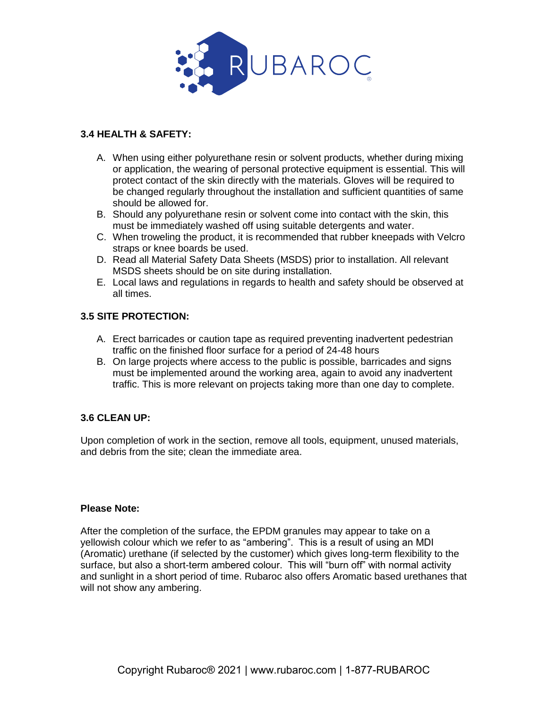

### **3.4 HEALTH & SAFETY:**

- A. When using either polyurethane resin or solvent products, whether during mixing or application, the wearing of personal protective equipment is essential. This will protect contact of the skin directly with the materials. Gloves will be required to be changed regularly throughout the installation and sufficient quantities of same should be allowed for.
- B. Should any polyurethane resin or solvent come into contact with the skin, this must be immediately washed off using suitable detergents and water.
- C. When troweling the product, it is recommended that rubber kneepads with Velcro straps or knee boards be used.
- D. Read all Material Safety Data Sheets (MSDS) prior to installation. All relevant MSDS sheets should be on site during installation.
- E. Local laws and regulations in regards to health and safety should be observed at all times.

## **3.5 SITE PROTECTION:**

- A. Erect barricades or caution tape as required preventing inadvertent pedestrian traffic on the finished floor surface for a period of 24-48 hours
- B. On large projects where access to the public is possible, barricades and signs must be implemented around the working area, again to avoid any inadvertent traffic. This is more relevant on projects taking more than one day to complete.

## **3.6 CLEAN UP:**

Upon completion of work in the section, remove all tools, equipment, unused materials, and debris from the site; clean the immediate area.

#### **Please Note:**

After the completion of the surface, the EPDM granules may appear to take on a yellowish colour which we refer to as "ambering". This is a result of using an MDI (Aromatic) urethane (if selected by the customer) which gives long-term flexibility to the surface, but also a short-term ambered colour. This will "burn off" with normal activity and sunlight in a short period of time. Rubaroc also offers Aromatic based urethanes that will not show any ambering.